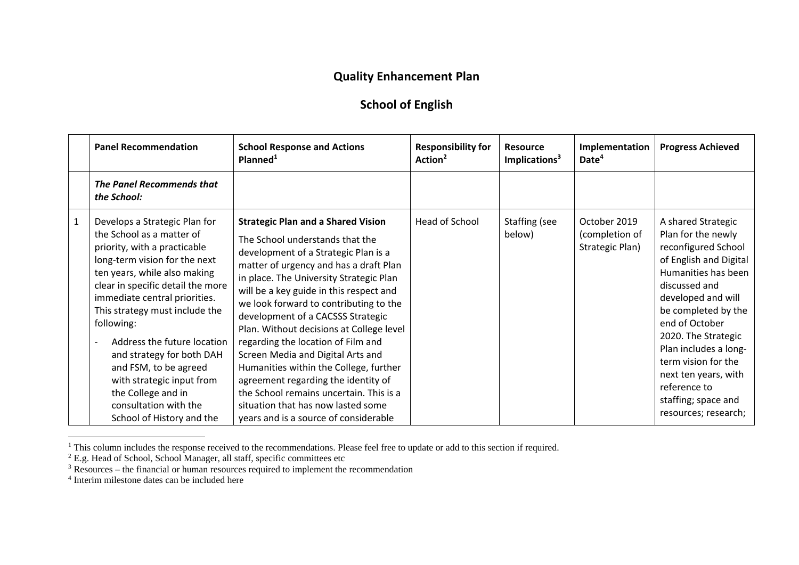## **Quality Enhancement Plan**

## **School of English**

|              | <b>Panel Recommendation</b>                                                                                                                                                                                                                                                                                                                                                                                                                                                     | <b>School Response and Actions</b><br>Planned <sup>1</sup>                                                                                                                                                                                                                                                                                                                                                                                                                                                                                                                                                                                                            | <b>Responsibility for</b><br>Action <sup>2</sup> | <b>Resource</b><br>Implications <sup>3</sup> | Implementation<br>Date <sup>4</sup>               | <b>Progress Achieved</b>                                                                                                                                                                                                                                                                                                                                       |
|--------------|---------------------------------------------------------------------------------------------------------------------------------------------------------------------------------------------------------------------------------------------------------------------------------------------------------------------------------------------------------------------------------------------------------------------------------------------------------------------------------|-----------------------------------------------------------------------------------------------------------------------------------------------------------------------------------------------------------------------------------------------------------------------------------------------------------------------------------------------------------------------------------------------------------------------------------------------------------------------------------------------------------------------------------------------------------------------------------------------------------------------------------------------------------------------|--------------------------------------------------|----------------------------------------------|---------------------------------------------------|----------------------------------------------------------------------------------------------------------------------------------------------------------------------------------------------------------------------------------------------------------------------------------------------------------------------------------------------------------------|
|              | <b>The Panel Recommends that</b><br>the School:                                                                                                                                                                                                                                                                                                                                                                                                                                 |                                                                                                                                                                                                                                                                                                                                                                                                                                                                                                                                                                                                                                                                       |                                                  |                                              |                                                   |                                                                                                                                                                                                                                                                                                                                                                |
| $\mathbf{1}$ | Develops a Strategic Plan for<br>the School as a matter of<br>priority, with a practicable<br>long-term vision for the next<br>ten years, while also making<br>clear in specific detail the more<br>immediate central priorities.<br>This strategy must include the<br>following:<br>Address the future location<br>and strategy for both DAH<br>and FSM, to be agreed<br>with strategic input from<br>the College and in<br>consultation with the<br>School of History and the | <b>Strategic Plan and a Shared Vision</b><br>The School understands that the<br>development of a Strategic Plan is a<br>matter of urgency and has a draft Plan<br>in place. The University Strategic Plan<br>will be a key guide in this respect and<br>we look forward to contributing to the<br>development of a CACSSS Strategic<br>Plan. Without decisions at College level<br>regarding the location of Film and<br>Screen Media and Digital Arts and<br>Humanities within the College, further<br>agreement regarding the identity of<br>the School remains uncertain. This is a<br>situation that has now lasted some<br>years and is a source of considerable | Head of School                                   | Staffing (see<br>below)                      | October 2019<br>(completion of<br>Strategic Plan) | A shared Strategic<br>Plan for the newly<br>reconfigured School<br>of English and Digital<br>Humanities has been<br>discussed and<br>developed and will<br>be completed by the<br>end of October<br>2020. The Strategic<br>Plan includes a long-<br>term vision for the<br>next ten years, with<br>reference to<br>staffing; space and<br>resources; research; |

<sup>&</sup>lt;sup>1</sup> This column includes the response received to the recommendations. Please feel free to update or add to this section if required.

 $2$  E.g. Head of School, School Manager, all staff, specific committees etc

 $3$  Resources – the financial or human resources required to implement the recommendation

<sup>4</sup> Interim milestone dates can be included here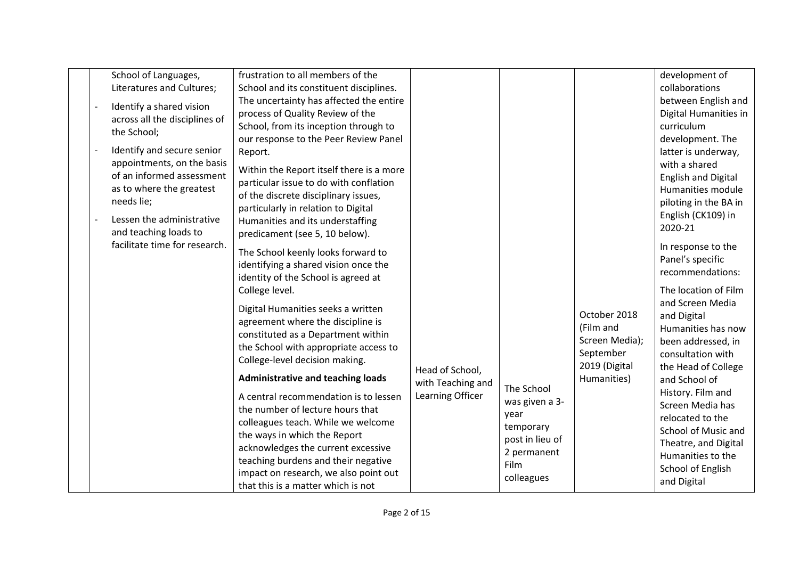|  |  | School of Languages,                  | frustration to all members of the                                          |                   |                              |                   | development of             |
|--|--|---------------------------------------|----------------------------------------------------------------------------|-------------------|------------------------------|-------------------|----------------------------|
|  |  | Literatures and Cultures;             | School and its constituent disciplines.                                    |                   |                              |                   | collaborations             |
|  |  | Identify a shared vision              | The uncertainty has affected the entire                                    |                   |                              |                   | between English and        |
|  |  | across all the disciplines of         | process of Quality Review of the                                           |                   |                              |                   | Digital Humanities in      |
|  |  | the School;                           | School, from its inception through to                                      |                   |                              |                   | curriculum                 |
|  |  |                                       | our response to the Peer Review Panel                                      |                   |                              |                   | development. The           |
|  |  | Identify and secure senior            | Report.                                                                    |                   |                              |                   | latter is underway,        |
|  |  | appointments, on the basis            | Within the Report itself there is a more                                   |                   |                              |                   | with a shared              |
|  |  | of an informed assessment             | particular issue to do with conflation                                     |                   |                              |                   | <b>English and Digital</b> |
|  |  | as to where the greatest              | of the discrete disciplinary issues,                                       |                   |                              |                   | Humanities module          |
|  |  | needs lie;                            | particularly in relation to Digital                                        |                   |                              |                   | piloting in the BA in      |
|  |  | Lessen the administrative             | Humanities and its understaffing                                           |                   |                              |                   | English (CK109) in         |
|  |  | and teaching loads to                 | predicament (see 5, 10 below).                                             |                   |                              |                   | 2020-21                    |
|  |  | facilitate time for research.         |                                                                            |                   |                              |                   | In response to the         |
|  |  |                                       | The School keenly looks forward to<br>identifying a shared vision once the |                   |                              |                   | Panel's specific           |
|  |  |                                       | identity of the School is agreed at                                        |                   |                              |                   | recommendations:           |
|  |  |                                       | College level.                                                             |                   |                              |                   | The location of Film       |
|  |  |                                       |                                                                            |                   |                              |                   | and Screen Media           |
|  |  |                                       | Digital Humanities seeks a written                                         |                   |                              | October 2018      | and Digital                |
|  |  |                                       | agreement where the discipline is                                          |                   |                              | (Film and         | Humanities has now         |
|  |  |                                       | constituted as a Department within                                         |                   |                              | Screen Media);    | been addressed, in         |
|  |  |                                       | the School with appropriate access to                                      |                   |                              | September         | consultation with          |
|  |  |                                       | College-level decision making.                                             | Head of School,   |                              | 2019 (Digital     | the Head of College        |
|  |  |                                       | <b>Administrative and teaching loads</b>                                   | with Teaching and |                              | Humanities)       | and School of              |
|  |  |                                       | A central recommendation is to lessen                                      | Learning Officer  | The School                   |                   | History. Film and          |
|  |  |                                       | the number of lecture hours that                                           |                   | was given a 3-               |                   | Screen Media has           |
|  |  |                                       | colleagues teach. While we welcome                                         |                   | year                         |                   | relocated to the           |
|  |  |                                       | the ways in which the Report                                               |                   | temporary<br>post in lieu of |                   | School of Music and        |
|  |  |                                       | acknowledges the current excessive                                         |                   | 2 permanent                  |                   | Theatre, and Digital       |
|  |  | teaching burdens and their negative   |                                                                            | <b>Film</b>       |                              | Humanities to the |                            |
|  |  | impact on research, we also point out |                                                                            | colleagues        |                              | School of English |                            |
|  |  |                                       | that this is a matter which is not                                         |                   |                              |                   | and Digital                |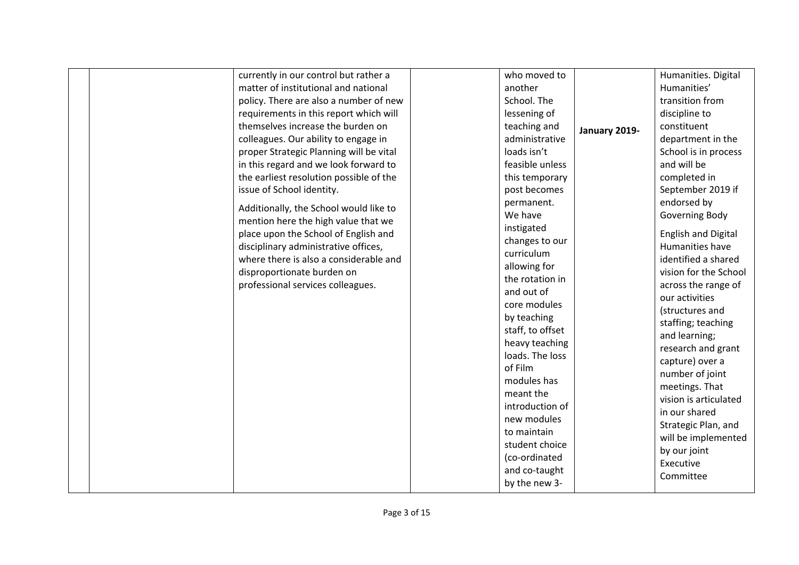| currently in our control but rather a   | who moved to     |               | Humanities. Digital        |
|-----------------------------------------|------------------|---------------|----------------------------|
| matter of institutional and national    | another          |               | Humanities'                |
| policy. There are also a number of new  | School. The      |               | transition from            |
| requirements in this report which will  | lessening of     |               | discipline to              |
| themselves increase the burden on       | teaching and     |               | constituent                |
| colleagues. Our ability to engage in    | administrative   | January 2019- | department in the          |
| proper Strategic Planning will be vital | loads isn't      |               | School is in process       |
| in this regard and we look forward to   | feasible unless  |               | and will be                |
|                                         |                  |               |                            |
| the earliest resolution possible of the | this temporary   |               | completed in               |
| issue of School identity.               | post becomes     |               | September 2019 if          |
| Additionally, the School would like to  | permanent.       |               | endorsed by                |
| mention here the high value that we     | We have          |               | Governing Body             |
| place upon the School of English and    | instigated       |               | <b>English and Digital</b> |
| disciplinary administrative offices,    | changes to our   |               | Humanities have            |
| where there is also a considerable and  | curriculum       |               | identified a shared        |
| disproportionate burden on              | allowing for     |               | vision for the School      |
| professional services colleagues.       | the rotation in  |               | across the range of        |
|                                         | and out of       |               | our activities             |
|                                         | core modules     |               | (structures and            |
|                                         | by teaching      |               | staffing; teaching         |
|                                         | staff, to offset |               | and learning;              |
|                                         | heavy teaching   |               | research and grant         |
|                                         | loads. The loss  |               | capture) over a            |
|                                         | of Film          |               | number of joint            |
|                                         | modules has      |               | meetings. That             |
|                                         | meant the        |               | vision is articulated      |
|                                         | introduction of  |               | in our shared              |
|                                         | new modules      |               |                            |
|                                         | to maintain      |               | Strategic Plan, and        |
|                                         | student choice   |               | will be implemented        |
|                                         | (co-ordinated    |               | by our joint               |
|                                         | and co-taught    |               | Executive                  |
|                                         | by the new 3-    |               | Committee                  |
|                                         |                  |               |                            |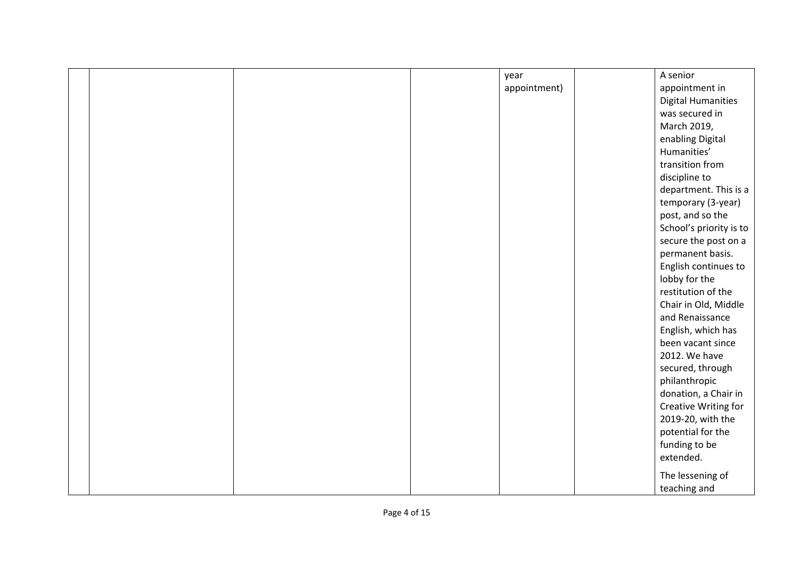|  |  | year         | A senior                  |
|--|--|--------------|---------------------------|
|  |  | appointment) | appointment in            |
|  |  |              | <b>Digital Humanities</b> |
|  |  |              | was secured in            |
|  |  |              | March 2019,               |
|  |  |              | enabling Digital          |
|  |  |              | Humanities'               |
|  |  |              | transition from           |
|  |  |              | discipline to             |
|  |  |              | department. This is a     |
|  |  |              | temporary (3-year)        |
|  |  |              | post, and so the          |
|  |  |              | School's priority is to   |
|  |  |              | secure the post on a      |
|  |  |              | permanent basis.          |
|  |  |              | English continues to      |
|  |  |              | lobby for the             |
|  |  |              | restitution of the        |
|  |  |              | Chair in Old, Middle      |
|  |  |              | and Renaissance           |
|  |  |              | English, which has        |
|  |  |              | been vacant since         |
|  |  |              | 2012. We have             |
|  |  |              | secured, through          |
|  |  |              | philanthropic             |
|  |  |              | donation, a Chair in      |
|  |  |              | Creative Writing for      |
|  |  |              | 2019-20, with the         |
|  |  |              | potential for the         |
|  |  |              | funding to be             |
|  |  |              | extended.                 |
|  |  |              | The lessening of          |
|  |  |              | teaching and              |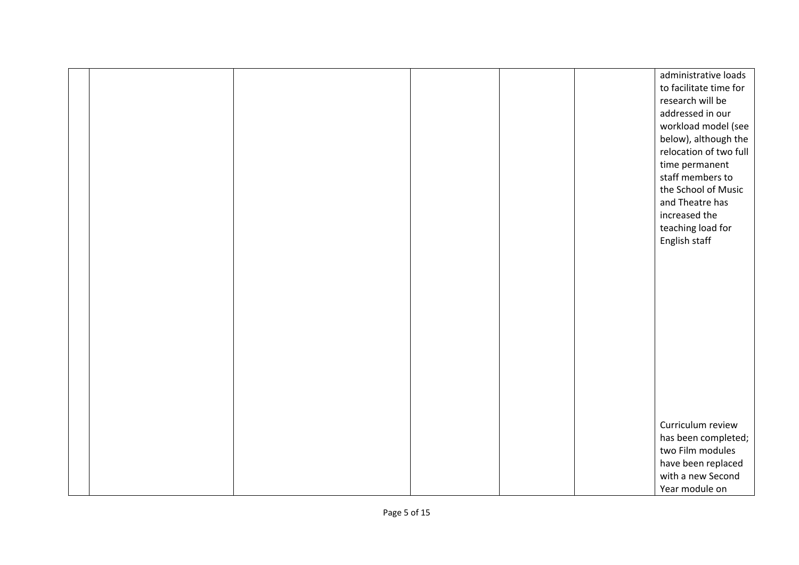|  |  |  | administrative loads   |
|--|--|--|------------------------|
|  |  |  | to facilitate time for |
|  |  |  | research will be       |
|  |  |  | addressed in our       |
|  |  |  | workload model (see    |
|  |  |  | below), although the   |
|  |  |  | relocation of two full |
|  |  |  | time permanent         |
|  |  |  | staff members to       |
|  |  |  | the School of Music    |
|  |  |  | and Theatre has        |
|  |  |  | increased the          |
|  |  |  | teaching load for      |
|  |  |  | English staff          |
|  |  |  |                        |
|  |  |  |                        |
|  |  |  |                        |
|  |  |  |                        |
|  |  |  |                        |
|  |  |  |                        |
|  |  |  |                        |
|  |  |  |                        |
|  |  |  |                        |
|  |  |  |                        |
|  |  |  |                        |
|  |  |  |                        |
|  |  |  |                        |
|  |  |  | Curriculum review      |
|  |  |  | has been completed;    |
|  |  |  | two Film modules       |
|  |  |  | have been replaced     |
|  |  |  | with a new Second      |
|  |  |  | Year module on         |
|  |  |  |                        |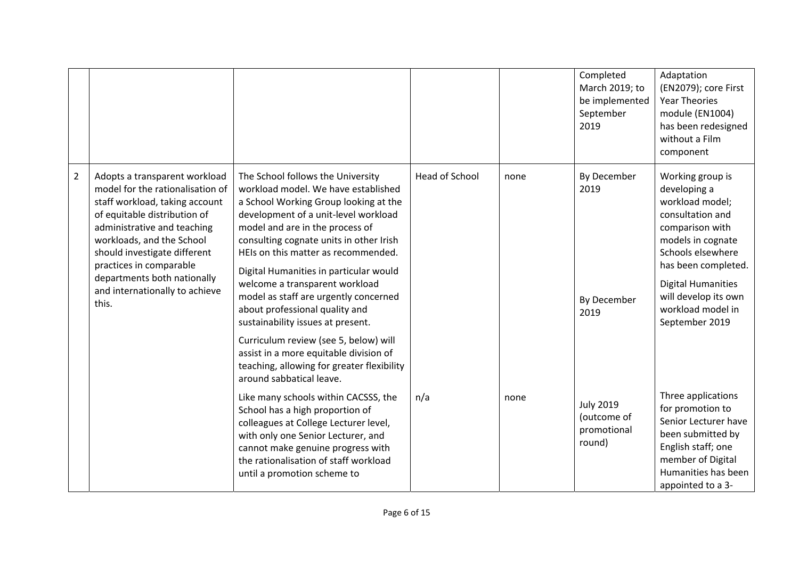|                |                                                                                                                                                                                                                                                                                                                                      |                                                                                                                                                                                                                                                                                                                                                                                                                                                                                                                                                                                                                                         |                |      | Completed<br>March 2019; to<br>be implemented<br>September<br>2019 | Adaptation<br>(EN2079); core First<br><b>Year Theories</b><br>module (EN1004)<br>has been redesigned<br>without a Film<br>component                                                                                                                     |
|----------------|--------------------------------------------------------------------------------------------------------------------------------------------------------------------------------------------------------------------------------------------------------------------------------------------------------------------------------------|-----------------------------------------------------------------------------------------------------------------------------------------------------------------------------------------------------------------------------------------------------------------------------------------------------------------------------------------------------------------------------------------------------------------------------------------------------------------------------------------------------------------------------------------------------------------------------------------------------------------------------------------|----------------|------|--------------------------------------------------------------------|---------------------------------------------------------------------------------------------------------------------------------------------------------------------------------------------------------------------------------------------------------|
| $\overline{2}$ | Adopts a transparent workload<br>model for the rationalisation of<br>staff workload, taking account<br>of equitable distribution of<br>administrative and teaching<br>workloads, and the School<br>should investigate different<br>practices in comparable<br>departments both nationally<br>and internationally to achieve<br>this. | The School follows the University<br>workload model. We have established<br>a School Working Group looking at the<br>development of a unit-level workload<br>model and are in the process of<br>consulting cognate units in other Irish<br>HEIs on this matter as recommended.<br>Digital Humanities in particular would<br>welcome a transparent workload<br>model as staff are urgently concerned<br>about professional quality and<br>sustainability issues at present.<br>Curriculum review (see 5, below) will<br>assist in a more equitable division of<br>teaching, allowing for greater flexibility<br>around sabbatical leave. | Head of School | none | By December<br>2019<br>By December<br>2019                         | Working group is<br>developing a<br>workload model;<br>consultation and<br>comparison with<br>models in cognate<br>Schools elsewhere<br>has been completed.<br><b>Digital Humanities</b><br>will develop its own<br>workload model in<br>September 2019 |
|                |                                                                                                                                                                                                                                                                                                                                      | Like many schools within CACSSS, the<br>School has a high proportion of<br>colleagues at College Lecturer level,<br>with only one Senior Lecturer, and<br>cannot make genuine progress with<br>the rationalisation of staff workload<br>until a promotion scheme to                                                                                                                                                                                                                                                                                                                                                                     | n/a            | none | <b>July 2019</b><br>(outcome of<br>promotional<br>round)           | Three applications<br>for promotion to<br>Senior Lecturer have<br>been submitted by<br>English staff; one<br>member of Digital<br>Humanities has been<br>appointed to a 3-                                                                              |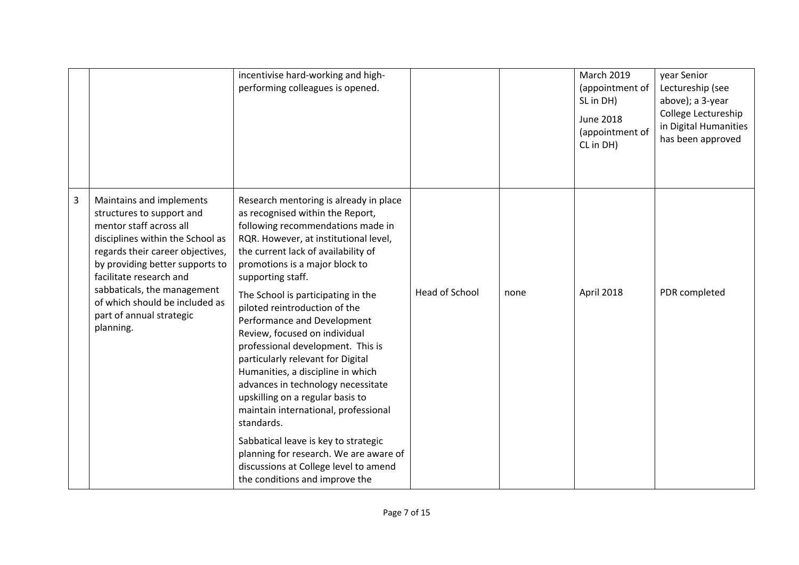|   |                                                                                                                                                                                                                                                                                                                                  | incentivise hard-working and high-<br>performing colleagues is opened.                                                                                                                                                                                                                                                                                                                                                                                                                                                                                                                                                                                                                                                                                                                                    |                       |      | <b>March 2019</b><br>(appointment of<br>SL in DH)<br><b>June 2018</b><br>(appointment of<br>CL in DH) | year Senior<br>Lectureship (see<br>above); a 3-year<br>College Lectureship<br>in Digital Humanities<br>has been approved |
|---|----------------------------------------------------------------------------------------------------------------------------------------------------------------------------------------------------------------------------------------------------------------------------------------------------------------------------------|-----------------------------------------------------------------------------------------------------------------------------------------------------------------------------------------------------------------------------------------------------------------------------------------------------------------------------------------------------------------------------------------------------------------------------------------------------------------------------------------------------------------------------------------------------------------------------------------------------------------------------------------------------------------------------------------------------------------------------------------------------------------------------------------------------------|-----------------------|------|-------------------------------------------------------------------------------------------------------|--------------------------------------------------------------------------------------------------------------------------|
| 3 | Maintains and implements<br>structures to support and<br>mentor staff across all<br>disciplines within the School as<br>regards their career objectives,<br>by providing better supports to<br>facilitate research and<br>sabbaticals, the management<br>of which should be included as<br>part of annual strategic<br>planning. | Research mentoring is already in place<br>as recognised within the Report,<br>following recommendations made in<br>RQR. However, at institutional level,<br>the current lack of availability of<br>promotions is a major block to<br>supporting staff.<br>The School is participating in the<br>piloted reintroduction of the<br>Performance and Development<br>Review, focused on individual<br>professional development. This is<br>particularly relevant for Digital<br>Humanities, a discipline in which<br>advances in technology necessitate<br>upskilling on a regular basis to<br>maintain international, professional<br>standards.<br>Sabbatical leave is key to strategic<br>planning for research. We are aware of<br>discussions at College level to amend<br>the conditions and improve the | <b>Head of School</b> | none | April 2018                                                                                            | PDR completed                                                                                                            |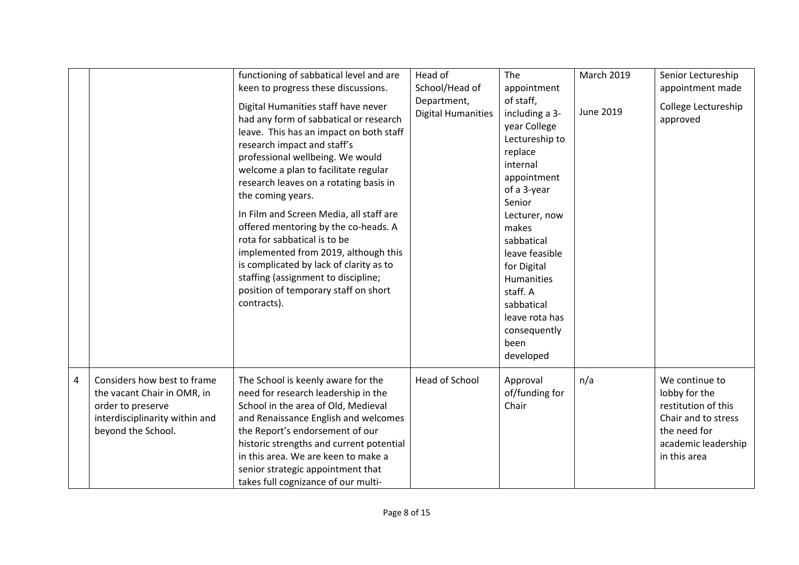|                |                                                                                                                                         | functioning of sabbatical level and are<br>keen to progress these discussions.<br>Digital Humanities staff have never<br>had any form of sabbatical or research<br>leave. This has an impact on both staff<br>research impact and staff's<br>professional wellbeing. We would<br>welcome a plan to facilitate regular<br>research leaves on a rotating basis in<br>the coming years.<br>In Film and Screen Media, all staff are<br>offered mentoring by the co-heads. A<br>rota for sabbatical is to be<br>implemented from 2019, although this<br>is complicated by lack of clarity as to<br>staffing (assignment to discipline;<br>position of temporary staff on short<br>contracts). | Head of<br>School/Head of<br>Department,<br><b>Digital Humanities</b> | The<br>appointment<br>of staff,<br>including a 3-<br>year College<br>Lectureship to<br>replace<br>internal<br>appointment<br>of a 3-year<br>Senior<br>Lecturer, now<br>makes<br>sabbatical<br>leave feasible<br>for Digital<br><b>Humanities</b><br>staff. A<br>sabbatical<br>leave rota has<br>consequently | <b>March 2019</b><br>June 2019 | Senior Lectureship<br>appointment made<br>College Lectureship<br>approved                                                            |
|----------------|-----------------------------------------------------------------------------------------------------------------------------------------|------------------------------------------------------------------------------------------------------------------------------------------------------------------------------------------------------------------------------------------------------------------------------------------------------------------------------------------------------------------------------------------------------------------------------------------------------------------------------------------------------------------------------------------------------------------------------------------------------------------------------------------------------------------------------------------|-----------------------------------------------------------------------|--------------------------------------------------------------------------------------------------------------------------------------------------------------------------------------------------------------------------------------------------------------------------------------------------------------|--------------------------------|--------------------------------------------------------------------------------------------------------------------------------------|
|                |                                                                                                                                         |                                                                                                                                                                                                                                                                                                                                                                                                                                                                                                                                                                                                                                                                                          |                                                                       | been<br>developed                                                                                                                                                                                                                                                                                            |                                |                                                                                                                                      |
| $\overline{4}$ | Considers how best to frame<br>the vacant Chair in OMR, in<br>order to preserve<br>interdisciplinarity within and<br>beyond the School. | The School is keenly aware for the<br>need for research leadership in the<br>School in the area of Old, Medieval<br>and Renaissance English and welcomes<br>the Report's endorsement of our<br>historic strengths and current potential<br>in this area. We are keen to make a<br>senior strategic appointment that<br>takes full cognizance of our multi-                                                                                                                                                                                                                                                                                                                               | Head of School                                                        | Approval<br>of/funding for<br>Chair                                                                                                                                                                                                                                                                          | n/a                            | We continue to<br>lobby for the<br>restitution of this<br>Chair and to stress<br>the need for<br>academic leadership<br>in this area |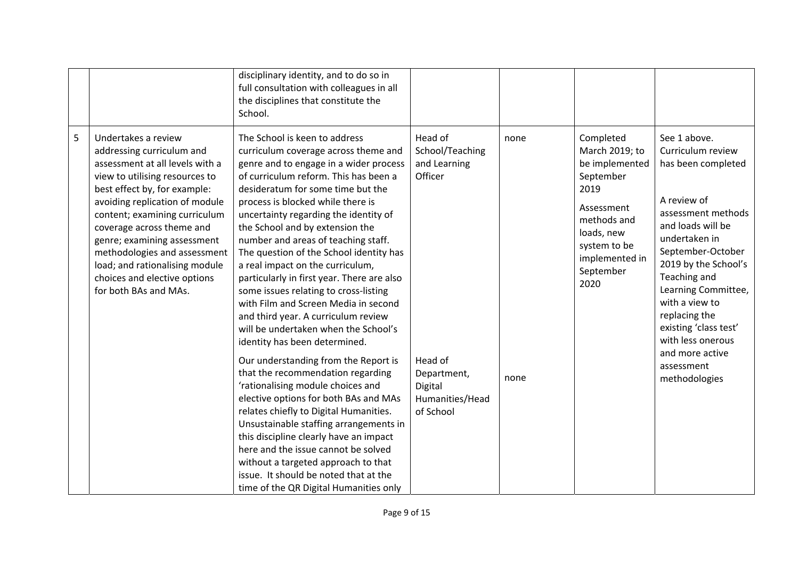|   |                                                                                                                                                                                                                                                                                                                                                                                                                 | disciplinary identity, and to do so in<br>full consultation with colleagues in all<br>the disciplines that constitute the<br>School.                                                                                                                                                                                                                                                                                                                                                                                                                                                                                                                                                                                                                                                                                                                                                                                                                                                                                                                                                                                                          |                                                                                                                            |              |                                                                                                                                                                      |                                                                                                                                                                                                                                                                                                                                                           |
|---|-----------------------------------------------------------------------------------------------------------------------------------------------------------------------------------------------------------------------------------------------------------------------------------------------------------------------------------------------------------------------------------------------------------------|-----------------------------------------------------------------------------------------------------------------------------------------------------------------------------------------------------------------------------------------------------------------------------------------------------------------------------------------------------------------------------------------------------------------------------------------------------------------------------------------------------------------------------------------------------------------------------------------------------------------------------------------------------------------------------------------------------------------------------------------------------------------------------------------------------------------------------------------------------------------------------------------------------------------------------------------------------------------------------------------------------------------------------------------------------------------------------------------------------------------------------------------------|----------------------------------------------------------------------------------------------------------------------------|--------------|----------------------------------------------------------------------------------------------------------------------------------------------------------------------|-----------------------------------------------------------------------------------------------------------------------------------------------------------------------------------------------------------------------------------------------------------------------------------------------------------------------------------------------------------|
| 5 | Undertakes a review<br>addressing curriculum and<br>assessment at all levels with a<br>view to utilising resources to<br>best effect by, for example:<br>avoiding replication of module<br>content; examining curriculum<br>coverage across theme and<br>genre; examining assessment<br>methodologies and assessment<br>load; and rationalising module<br>choices and elective options<br>for both BAs and MAs. | The School is keen to address<br>curriculum coverage across theme and<br>genre and to engage in a wider process<br>of curriculum reform. This has been a<br>desideratum for some time but the<br>process is blocked while there is<br>uncertainty regarding the identity of<br>the School and by extension the<br>number and areas of teaching staff.<br>The question of the School identity has<br>a real impact on the curriculum,<br>particularly in first year. There are also<br>some issues relating to cross-listing<br>with Film and Screen Media in second<br>and third year. A curriculum review<br>will be undertaken when the School's<br>identity has been determined.<br>Our understanding from the Report is<br>that the recommendation regarding<br>'rationalising module choices and<br>elective options for both BAs and MAs<br>relates chiefly to Digital Humanities.<br>Unsustainable staffing arrangements in<br>this discipline clearly have an impact<br>here and the issue cannot be solved<br>without a targeted approach to that<br>issue. It should be noted that at the<br>time of the QR Digital Humanities only | Head of<br>School/Teaching<br>and Learning<br>Officer<br>Head of<br>Department,<br>Digital<br>Humanities/Head<br>of School | none<br>none | Completed<br>March 2019; to<br>be implemented<br>September<br>2019<br>Assessment<br>methods and<br>loads, new<br>system to be<br>implemented in<br>September<br>2020 | See 1 above.<br>Curriculum review<br>has been completed<br>A review of<br>assessment methods<br>and loads will be<br>undertaken in<br>September-October<br>2019 by the School's<br>Teaching and<br>Learning Committee,<br>with a view to<br>replacing the<br>existing 'class test'<br>with less onerous<br>and more active<br>assessment<br>methodologies |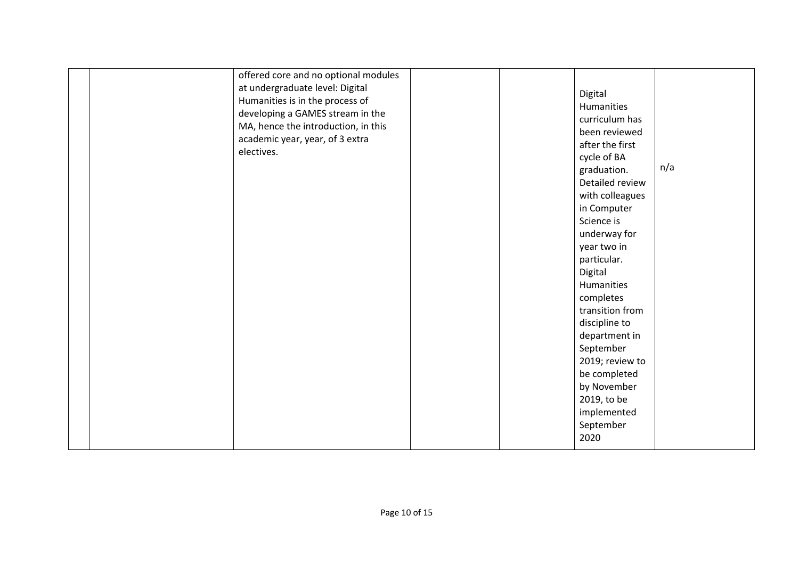| offered core and no optional modules<br>at undergraduate level: Digital<br>Humanities is in the process of<br>developing a GAMES stream in the<br>MA, hence the introduction, in this<br>academic year, year, of 3 extra<br>electives. |  | Digital<br>Humanities<br>curriculum has<br>been reviewed<br>after the first<br>cycle of BA<br>graduation.<br>Detailed review<br>with colleagues<br>in Computer<br>Science is<br>underway for<br>year two in<br>particular.<br>Digital<br>Humanities<br>completes<br>transition from<br>discipline to<br>department in<br>September<br>2019; review to<br>be completed<br>by November<br>2019, to be<br>implemented | n/a |
|----------------------------------------------------------------------------------------------------------------------------------------------------------------------------------------------------------------------------------------|--|--------------------------------------------------------------------------------------------------------------------------------------------------------------------------------------------------------------------------------------------------------------------------------------------------------------------------------------------------------------------------------------------------------------------|-----|
|                                                                                                                                                                                                                                        |  | September<br>2020                                                                                                                                                                                                                                                                                                                                                                                                  |     |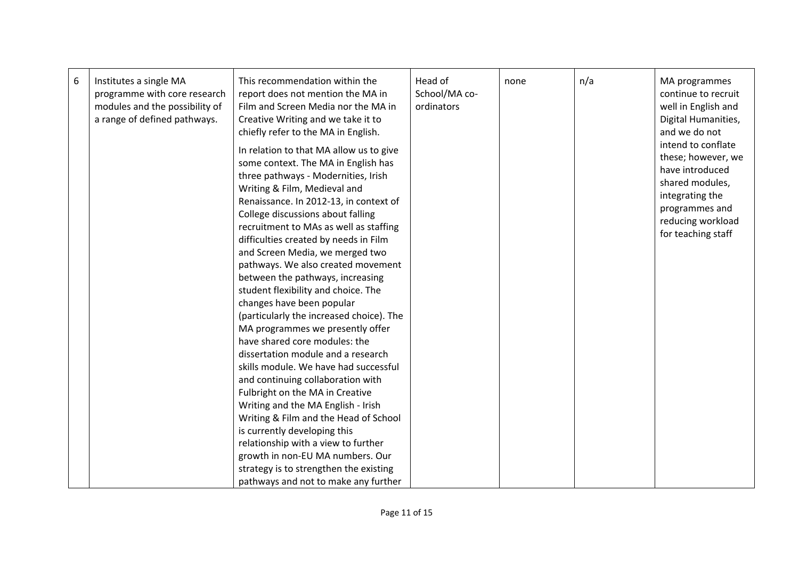| 6 | Institutes a single MA<br>programme with core research<br>modules and the possibility of<br>a range of defined pathways. | This recommendation within the<br>report does not mention the MA in<br>Film and Screen Media nor the MA in<br>Creative Writing and we take it to<br>chiefly refer to the MA in English.<br>In relation to that MA allow us to give                                                                                                                                                                                                                                                                                                                                                                                                                                                                                                                                          | Head of<br>School/MA co-<br>ordinators | none | n/a | MA programmes<br>continue to recruit<br>well in English and<br>Digital Humanities,<br>and we do not<br>intend to conflate                |
|---|--------------------------------------------------------------------------------------------------------------------------|-----------------------------------------------------------------------------------------------------------------------------------------------------------------------------------------------------------------------------------------------------------------------------------------------------------------------------------------------------------------------------------------------------------------------------------------------------------------------------------------------------------------------------------------------------------------------------------------------------------------------------------------------------------------------------------------------------------------------------------------------------------------------------|----------------------------------------|------|-----|------------------------------------------------------------------------------------------------------------------------------------------|
|   |                                                                                                                          | some context. The MA in English has<br>three pathways - Modernities, Irish<br>Writing & Film, Medieval and<br>Renaissance. In 2012-13, in context of<br>College discussions about falling<br>recruitment to MAs as well as staffing<br>difficulties created by needs in Film<br>and Screen Media, we merged two<br>pathways. We also created movement<br>between the pathways, increasing<br>student flexibility and choice. The<br>changes have been popular<br>(particularly the increased choice). The<br>MA programmes we presently offer<br>have shared core modules: the<br>dissertation module and a research<br>skills module. We have had successful<br>and continuing collaboration with<br>Fulbright on the MA in Creative<br>Writing and the MA English - Irish |                                        |      |     | these; however, we<br>have introduced<br>shared modules,<br>integrating the<br>programmes and<br>reducing workload<br>for teaching staff |
|   |                                                                                                                          | Writing & Film and the Head of School<br>is currently developing this                                                                                                                                                                                                                                                                                                                                                                                                                                                                                                                                                                                                                                                                                                       |                                        |      |     |                                                                                                                                          |
|   |                                                                                                                          | relationship with a view to further                                                                                                                                                                                                                                                                                                                                                                                                                                                                                                                                                                                                                                                                                                                                         |                                        |      |     |                                                                                                                                          |
|   |                                                                                                                          | growth in non-EU MA numbers. Our                                                                                                                                                                                                                                                                                                                                                                                                                                                                                                                                                                                                                                                                                                                                            |                                        |      |     |                                                                                                                                          |
|   |                                                                                                                          | strategy is to strengthen the existing                                                                                                                                                                                                                                                                                                                                                                                                                                                                                                                                                                                                                                                                                                                                      |                                        |      |     |                                                                                                                                          |
|   |                                                                                                                          | pathways and not to make any further                                                                                                                                                                                                                                                                                                                                                                                                                                                                                                                                                                                                                                                                                                                                        |                                        |      |     |                                                                                                                                          |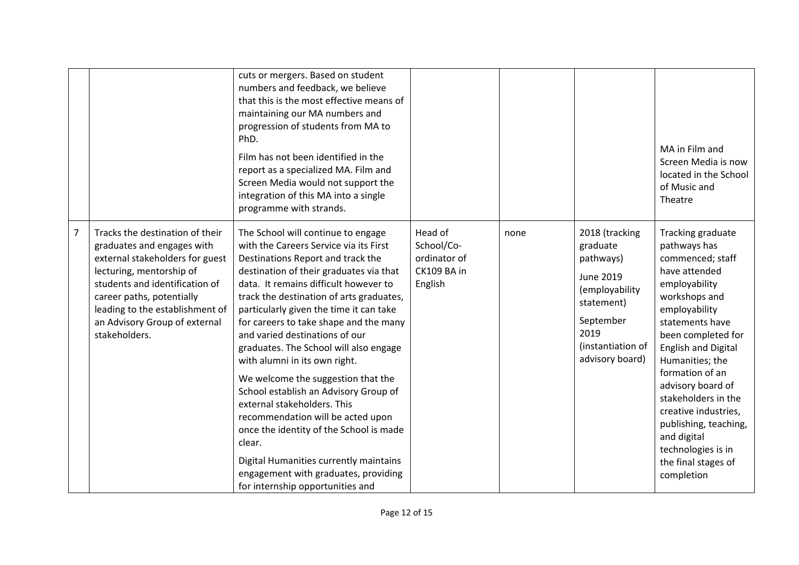|                |                                                                                                                                                                                                                                                                                  | cuts or mergers. Based on student<br>numbers and feedback, we believe<br>that this is the most effective means of<br>maintaining our MA numbers and<br>progression of students from MA to<br>PhD.<br>Film has not been identified in the<br>report as a specialized MA. Film and<br>Screen Media would not support the<br>integration of this MA into a single<br>programme with strands.                                                                                                                                                                                                                                                                                                                                                                                         |                                                                 |      |                                                                                                                                                          | MA in Film and<br>Screen Media is now<br>located in the School<br>of Music and<br>Theatre                                                                                                                                                                                                                                                                                                                     |
|----------------|----------------------------------------------------------------------------------------------------------------------------------------------------------------------------------------------------------------------------------------------------------------------------------|-----------------------------------------------------------------------------------------------------------------------------------------------------------------------------------------------------------------------------------------------------------------------------------------------------------------------------------------------------------------------------------------------------------------------------------------------------------------------------------------------------------------------------------------------------------------------------------------------------------------------------------------------------------------------------------------------------------------------------------------------------------------------------------|-----------------------------------------------------------------|------|----------------------------------------------------------------------------------------------------------------------------------------------------------|---------------------------------------------------------------------------------------------------------------------------------------------------------------------------------------------------------------------------------------------------------------------------------------------------------------------------------------------------------------------------------------------------------------|
| $\overline{7}$ | Tracks the destination of their<br>graduates and engages with<br>external stakeholders for guest<br>lecturing, mentorship of<br>students and identification of<br>career paths, potentially<br>leading to the establishment of<br>an Advisory Group of external<br>stakeholders. | The School will continue to engage<br>with the Careers Service via its First<br>Destinations Report and track the<br>destination of their graduates via that<br>data. It remains difficult however to<br>track the destination of arts graduates,<br>particularly given the time it can take<br>for careers to take shape and the many<br>and varied destinations of our<br>graduates. The School will also engage<br>with alumni in its own right.<br>We welcome the suggestion that the<br>School establish an Advisory Group of<br>external stakeholders. This<br>recommendation will be acted upon<br>once the identity of the School is made<br>clear.<br>Digital Humanities currently maintains<br>engagement with graduates, providing<br>for internship opportunities and | Head of<br>School/Co-<br>ordinator of<br>CK109 BA in<br>English | none | 2018 (tracking<br>graduate<br>pathways)<br><b>June 2019</b><br>(employability<br>statement)<br>September<br>2019<br>(instantiation of<br>advisory board) | Tracking graduate<br>pathways has<br>commenced; staff<br>have attended<br>employability<br>workshops and<br>employability<br>statements have<br>been completed for<br><b>English and Digital</b><br>Humanities; the<br>formation of an<br>advisory board of<br>stakeholders in the<br>creative industries,<br>publishing, teaching,<br>and digital<br>technologies is in<br>the final stages of<br>completion |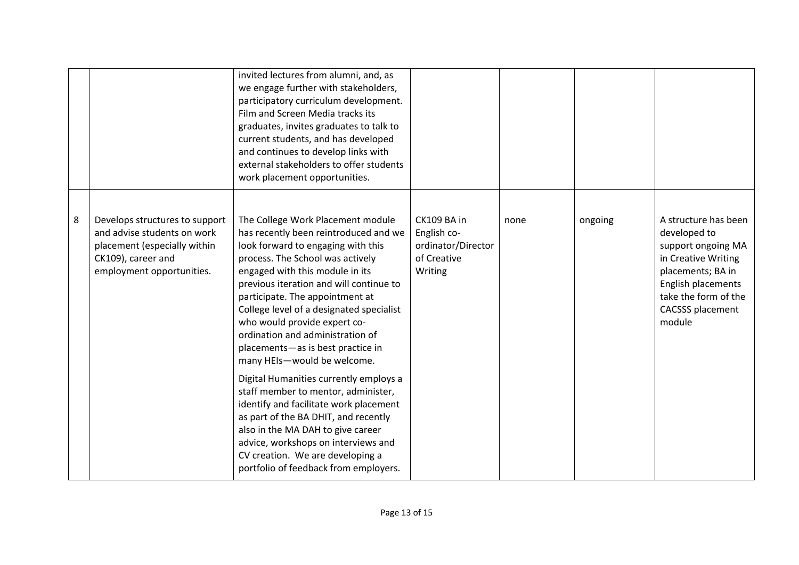|   |                                                                                                                                                  | invited lectures from alumni, and, as<br>we engage further with stakeholders,<br>participatory curriculum development.<br>Film and Screen Media tracks its<br>graduates, invites graduates to talk to<br>current students, and has developed<br>and continues to develop links with<br>external stakeholders to offer students<br>work placement opportunities.                                                                                                                                                                                                                                                                                                                                                                                                                       |                                                                            |      |         |                                                                                                                                                                                           |
|---|--------------------------------------------------------------------------------------------------------------------------------------------------|---------------------------------------------------------------------------------------------------------------------------------------------------------------------------------------------------------------------------------------------------------------------------------------------------------------------------------------------------------------------------------------------------------------------------------------------------------------------------------------------------------------------------------------------------------------------------------------------------------------------------------------------------------------------------------------------------------------------------------------------------------------------------------------|----------------------------------------------------------------------------|------|---------|-------------------------------------------------------------------------------------------------------------------------------------------------------------------------------------------|
| 8 | Develops structures to support<br>and advise students on work<br>placement (especially within<br>CK109), career and<br>employment opportunities. | The College Work Placement module<br>has recently been reintroduced and we<br>look forward to engaging with this<br>process. The School was actively<br>engaged with this module in its<br>previous iteration and will continue to<br>participate. The appointment at<br>College level of a designated specialist<br>who would provide expert co-<br>ordination and administration of<br>placements-as is best practice in<br>many HEIs-would be welcome.<br>Digital Humanities currently employs a<br>staff member to mentor, administer,<br>identify and facilitate work placement<br>as part of the BA DHIT, and recently<br>also in the MA DAH to give career<br>advice, workshops on interviews and<br>CV creation. We are developing a<br>portfolio of feedback from employers. | CK109 BA in<br>English co-<br>ordinator/Director<br>of Creative<br>Writing | none | ongoing | A structure has been<br>developed to<br>support ongoing MA<br>in Creative Writing<br>placements; BA in<br>English placements<br>take the form of the<br><b>CACSSS placement</b><br>module |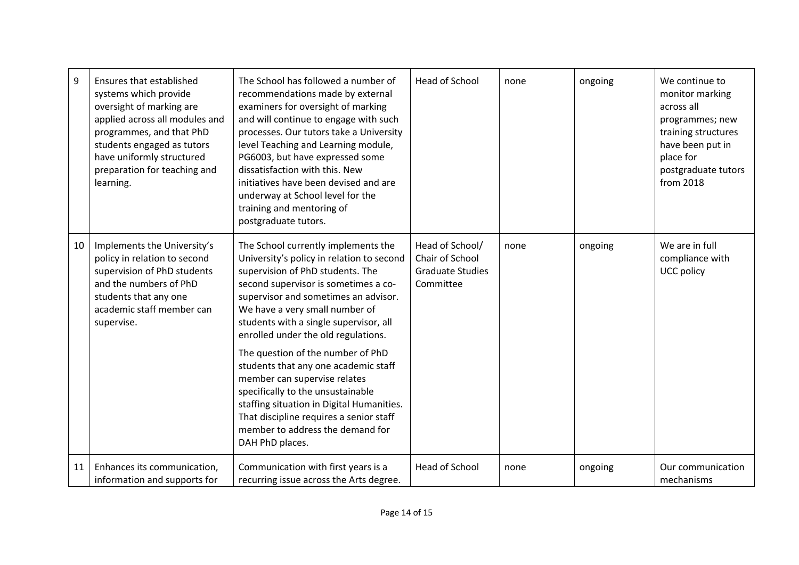| 9  | Ensures that established<br>systems which provide<br>oversight of marking are<br>applied across all modules and<br>programmes, and that PhD<br>students engaged as tutors<br>have uniformly structured<br>preparation for teaching and<br>learning. | The School has followed a number of<br>recommendations made by external<br>examiners for oversight of marking<br>and will continue to engage with such<br>processes. Our tutors take a University<br>level Teaching and Learning module,<br>PG6003, but have expressed some<br>dissatisfaction with this. New<br>initiatives have been devised and are<br>underway at School level for the<br>training and mentoring of<br>postgraduate tutors. | <b>Head of School</b>                                                      | none | ongoing | We continue to<br>monitor marking<br>across all<br>programmes; new<br>training structures<br>have been put in<br>place for<br>postgraduate tutors<br>from 2018 |
|----|-----------------------------------------------------------------------------------------------------------------------------------------------------------------------------------------------------------------------------------------------------|-------------------------------------------------------------------------------------------------------------------------------------------------------------------------------------------------------------------------------------------------------------------------------------------------------------------------------------------------------------------------------------------------------------------------------------------------|----------------------------------------------------------------------------|------|---------|----------------------------------------------------------------------------------------------------------------------------------------------------------------|
| 10 | Implements the University's<br>policy in relation to second<br>supervision of PhD students<br>and the numbers of PhD<br>students that any one<br>academic staff member can<br>supervise.                                                            | The School currently implements the<br>University's policy in relation to second<br>supervision of PhD students. The<br>second supervisor is sometimes a co-<br>supervisor and sometimes an advisor.<br>We have a very small number of<br>students with a single supervisor, all<br>enrolled under the old regulations.<br>The question of the number of PhD<br>students that any one academic staff<br>member can supervise relates            | Head of School/<br>Chair of School<br><b>Graduate Studies</b><br>Committee | none | ongoing | We are in full<br>compliance with<br>UCC policy                                                                                                                |
|    |                                                                                                                                                                                                                                                     | specifically to the unsustainable<br>staffing situation in Digital Humanities.<br>That discipline requires a senior staff<br>member to address the demand for<br>DAH PhD places.                                                                                                                                                                                                                                                                |                                                                            |      |         |                                                                                                                                                                |
| 11 | Enhances its communication,<br>information and supports for                                                                                                                                                                                         | Communication with first years is a<br>recurring issue across the Arts degree.                                                                                                                                                                                                                                                                                                                                                                  | <b>Head of School</b>                                                      | none | ongoing | Our communication<br>mechanisms                                                                                                                                |